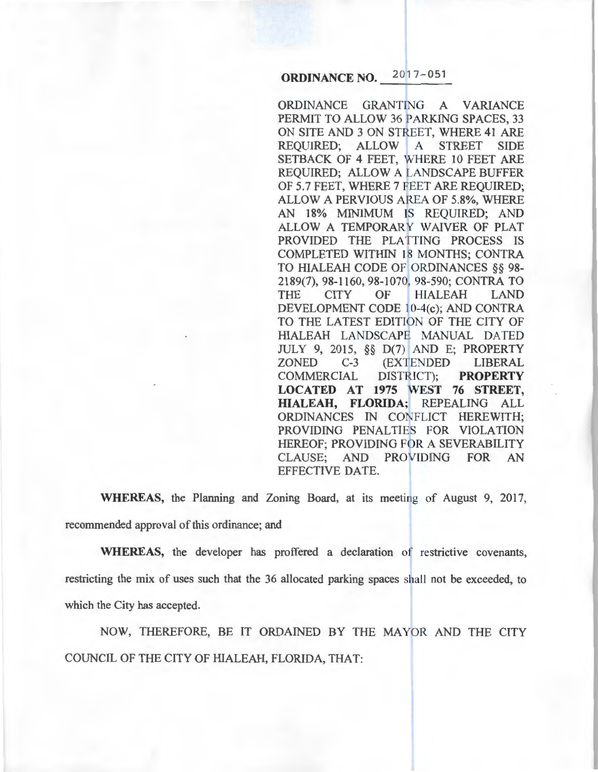# **ORDINANCE NO. 201?-051**

ORDINANCE GRANTING A VARIANCE PERMIT TO ALLOW 36 PARKING SPACES, 33 ON SITE AND 3 ON STREET, WHERE 41 ARE REQUIRED; ALLOW A STREET SIDE SETBACK OF 4 FEET, WHERE 10 FEET ARE REQUIRED; ALLOW A LANDSCAPE BUFFER OF 5.7 FEET, WHERE 7 FEET ARE REQUIRED; ALLOW A PERVIOUS AREA OF 5.8%, WHERE AN 18% MINIMUM IS REQUIRED; AND ALLOW A TEMPORARY WAIVER OF PLAT PROVIDED THE PLATTING PROCESS IS COMPLETED WITHIN 18 MONTHS; CONTRA TO HIALEAH CODE OF ORDINANCES §§ 98- 2189(7), 98-1160, 98-1070, 98-590; CONTRA TO THE CITY OF HIALEAH LAND DEVELOPMENT CODE 10-4(c); AND CONTRA TO THE LATEST EDITION OF THE CITY OF HIALEAH LANDSCAPE MANUAL DATED JULY 9, 2015, §§ D(7) AND E; PROPERTY ZONED C-3 (EXTENDED LIBERAL COMMERCIAL DISTRICT); **PROPERTY LOCATED AT 1975 WEST 76 STREET, HIALEAH, FLORIDA;** REPEALING ALL ORDINANCES IN CONFLICT HEREWITH; PROVIDING PENALTIES FOR VIOLATION HEREOF; PROVIDING FOR A SEVERABILITY CLAUSE; AND PROVIDING FOR AN EFFECTIVE DATE.

**WHEREAS,** the Planning and Zoning Board, at its meeting of August 9, 2017, recommended approval of this ordinance; and

**WHEREAS,** the developer has proffered a declaration of restrictive covenants, restricting the mix of uses such that the 36 allocated parking spaces shall not be exceeded, to which the City has accepted.

NOW, THEREFORE, BE IT ORDAINED BY THE MAYOR AND THE CITY COUNCIL OF THE CITY OF HIALEAH, FLORIDA, THAT: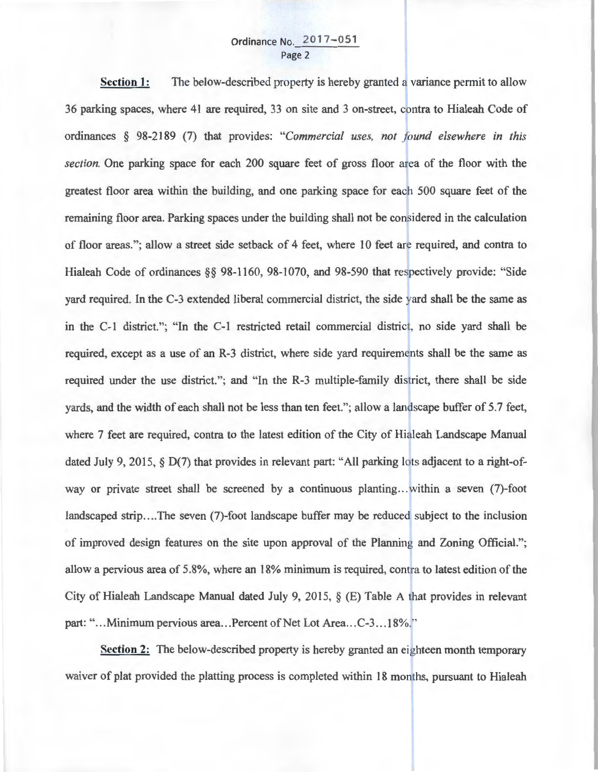## Ordinance No. 2017-051 Page 2

**Section 1:**  The below-described property is hereby granted a variance permit to allow 36 parking spaces, where 41 are required, 33 on site and 3 on-street, contra to Hialeah Code of ordinances § 98-2189 (7) that provides: *"Commercial uses, not found elsewhere in this section.* One parking space for each 200 square feet of gross floor area of the floor with the greatest floor area within the building, and one parking space for each 500 square feet of the remaining floor area. Parking spaces under the building shall not be considered in the calculation of floor areas."; allow a street side setback of 4 feet, where 10 feet are required, and contra to Hialeah Code of ordinances §§ 98-1160, 98-1070, and 98-590 that respectively provide: "Side yard required. In the C-3 extended liberal commercial district, the side yard shall be the same as in the C-1 district."; "In the C-1 restricted retail commercial district, no side yard shall be required, except as a use of an R-3 district, where side yard requirements shall be the same as required under the use district."; and "In the R-3 multiple-family district, there shall be side yards, and the width of each shall not be less than ten feet. "; allow a landscape buffer of 5.7 feet, where 7 feet are required, contra to the latest edition of the City of Hialeah Landscape Manual dated July 9, 2015, § D(7) that provides in relevant part: "All parking lots adjacent to a right-ofway or private street shall be screened by a continuous planting...within a seven (7)-foot landscaped strip....The seven (7)-foot landscape buffer may be reduced subject to the inclusion of improved design features on the site upon approval of the Planning and Zoning Official."; allow a pervious area of  $5.8\%$ , where an 18% minimum is required, contra to latest edition of the City of Hialeah Landscape Manual dated July 9, 2015, § (E) Table A that provides in relevant part: "...Minimum pervious area...Percent of Net Lot Area...C-3...18%."

**Section 2:** The below-described property is hereby granted an eighteen month temporary waiver of plat provided the platting process is completed within 18 months, pursuant to Hialeah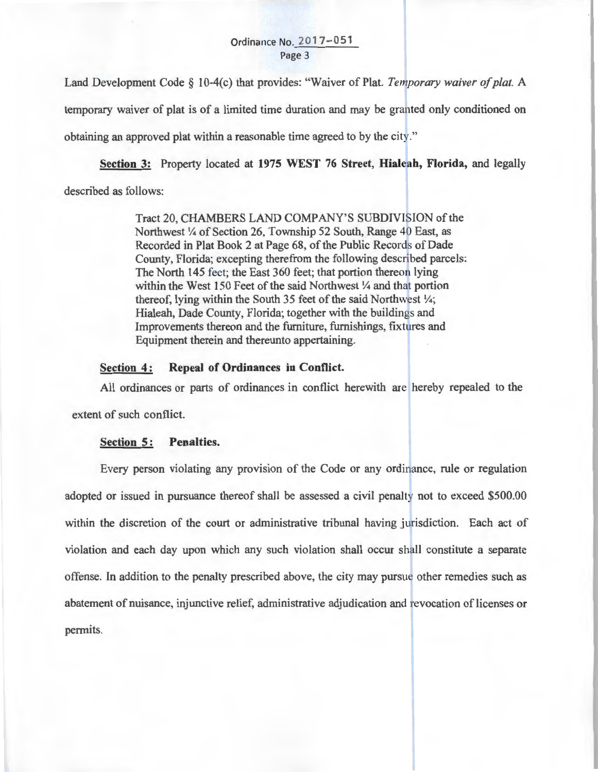#### Ordinance No. 2017-051 Page 3

Land Development Code § 10-4(c) that provides: "Waiver of Plat. *Temporary waiver of plat*. A temporary waiver of plat is of a limited time duration and may be granted only conditioned on obtaining an approved plat within a reasonable time agreed to by the city."

**Section 3:** Property located at **1975 WEST 76 Street, Hialeah, Florida,** and legally

described as follows:

Tract 20, CHAMBERS LAND COMPANY'S SUBDIVISION of the Northwest  $\frac{1}{4}$  of Section 26, Township 52 South, Range 40 East, as Recorded in Plat Book 2 at Page 68, of the Public Records of Dade County, Florida; excepting therefrom the following described parcels: The North 145 feet; the East 360 feet; that portion thereon lying within the West 150 Feet of the said Northwest  $\frac{1}{4}$  and that portion thereof, lying within the South 35 feet of the said Northwest  $\frac{1}{4}$ ; Hialeah, Dade County, Florida; together with the buildings and Improvements thereon and the furniture, furnishings, fixtures and Equipment therein and thereunto appertaining.

### **Section 4:** Repeal of Ordinances in Conflict.

All ordinances or parts of ordinances in conflict herewith are hereby repealed to the extent of such conflict.

#### **Section 5: Penalties.**

Every person violating any provision of the Code or any ordinance, rule or regulation adopted or issued in pursuance thereof shall be assessed a civil penalty not to exceed \$500.00 within the discretion of the court or administrative tribunal having jurisdiction. Each act of violation and each day upon which any such violation shall occur shall constitute a separate offense. In addition to the penalty prescribed above, the city may pursue other remedies such as abatement of nuisance, injunctive relief, administrative adjudication and revocation of licenses or permits.